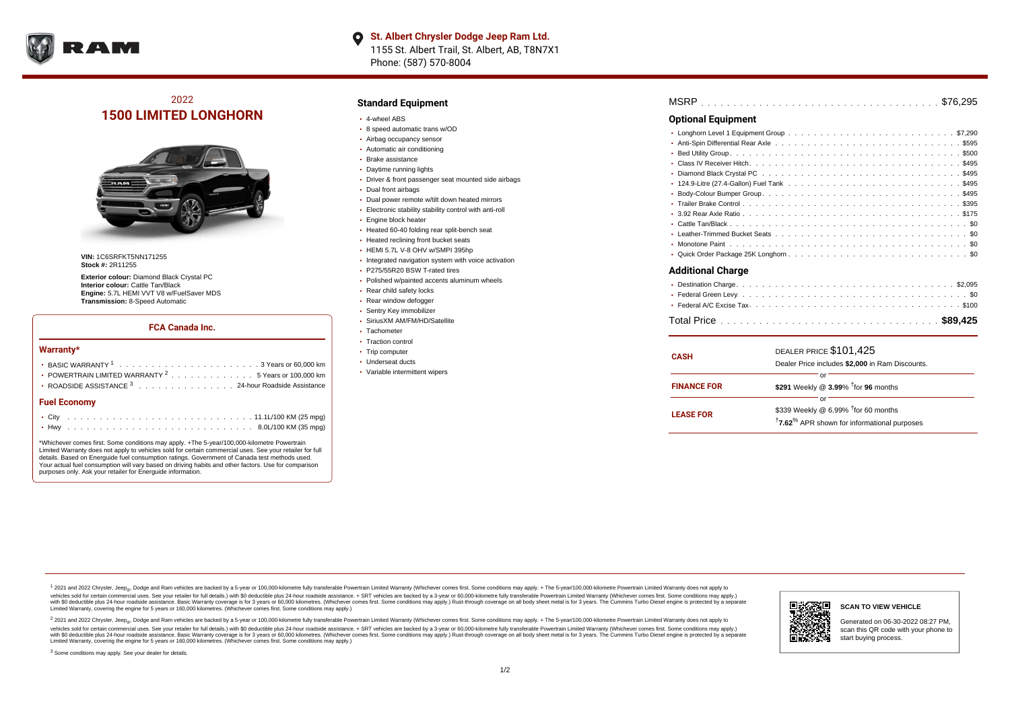

# 2022 **1500 LIMITED LONGHORN**



**VIN:** 1C6SRFKT5NN171255 **Stock #:** 2R11255

**Exterior colour:** Diamond Black Crystal PC **Interior colour:** Cattle Tan/Black **Engine:** 5.7L HEMI VVT V8 w/FuelSaver MDS **Transmission:** 8-Speed Automatic

#### **FCA Canada Inc.**

#### **Warranty\***

| Fuel Fconomy                                                     |
|------------------------------------------------------------------|
| • ROADSIDE ASSISTANCE 3 24-hour Roadside Assistance              |
| • POWERTRAIN LIMITED WARRANTY <sup>2</sup> 5 Years or 100,000 km |
|                                                                  |
|                                                                  |

#### **Fuel Economy**

\*Whichever comes first. Some conditions may apply. +The 5-year/100,000-kilometre Powertrain Limited Warranty does not apply to vehicles sold for certain commercial uses. See your retailer for full details. Based on Energuide fuel consumption ratings. Government of Canada test methods used. Your actual fuel consumption will vary based on driving habits and other factors. Use for comparison purposes only. Ask your retailer for Energuide information.

#### **Standard Equipment**

- 4-wheel ABS
- 8 speed automatic trans w/OD
- Airbag occupancy sensor
- Automatic air conditioning
- Brake assistance Daytime running lights
- 
- Driver & front passenger seat mounted side airbags
- Dual front airbags
- Dual power remote w/tilt down heated mirrors
- Electronic stability stability control with anti-roll
- **Engine block heater**
- Heated 60-40 folding rear split-bench seat
- Heated reclining front bucket seats
- HEMI 5.7L V-8 OHV w/SMPI 395hp
- Integrated navigation system with voice activation
- P275/55R20 BSW T-rated tires
- Polished w/painted accents aluminum wheels
- Rear child safety locks
- Rear window defogger
- Sentry Key immobilizer
- SiriusXM AM/FM/HD/Satellite
- Tachometer
- Traction control
- Trip computer
- Underseat ducts
- Variable intermittent wipers

| MSRP |  |  |  |  |  |  |  |  |  |  |  |  |  |  |  |  |  |  |  |  |  |  |  |  |  |  |  |  |  |  |  |  |  |  |  |  |  |
|------|--|--|--|--|--|--|--|--|--|--|--|--|--|--|--|--|--|--|--|--|--|--|--|--|--|--|--|--|--|--|--|--|--|--|--|--|--|
|------|--|--|--|--|--|--|--|--|--|--|--|--|--|--|--|--|--|--|--|--|--|--|--|--|--|--|--|--|--|--|--|--|--|--|--|--|--|

### **Optional Equipment**

| Additional Charge |  |  |  |  |  |  |
|-------------------|--|--|--|--|--|--|

| <b>CASH</b>        | DEALER PRICE \$101,425<br>Dealer Price includes \$2,000 in Ram Discounts.                                                    |  |  |  |  |  |  |  |  |  |  |
|--------------------|------------------------------------------------------------------------------------------------------------------------------|--|--|--|--|--|--|--|--|--|--|
| <b>FINANCE FOR</b> | or<br>\$291 Weekly @ $3.99\%$ <sup>†</sup> for 96 months                                                                     |  |  |  |  |  |  |  |  |  |  |
| <b>LEASE FOR</b>   | Ωľ<br>\$339 Weekly @ 6.99% <sup>t</sup> for 60 months<br><sup>†</sup> 7.62 <sup>%</sup> APR shown for informational purposes |  |  |  |  |  |  |  |  |  |  |

1 2021 and 2022 Chrysler, Jeep<sub>er</sub>, Dodge and Ram vehicles are backed by a 5-year or 100,000-kilometre fully transferable Powertrain Limited Warranty (Whichever comes first. Some conditions may apply. + The 5-year/100,000vehicles sold for certain commercial uses. See your retailer for full details.) with \$0 deductible plus 24-hour roadside assistance. + SRT vehicles are backed by a 3-year or 60,000-kilometre fully transferable Powertrain L ventals and contract when the contract when the contract you contract when the contract when the control of the set of a set of a set of a set of 3 years of 60,000 kilometres. Whichever comes first. Some conditions may app Limited Warranty, covering the engine for 5 years or 160,000 kilometres. (Whichever comes first. Some conditions may apply.)

<sup>2</sup> 2021 and 2022 Chrysler, Jeep<sub>®</sub>, Dodge and Ram vehicles are backed by a 5-year or 100,000-kilometre fully transferable Powertrain Limited Warranty (Whichever comes first. Some conditions may apply. + The 5-year/100,000 vehicles sold for certain commercial uses. See your retailer for full details.) with SO deductible plus 24-hour roadside assistance. + SRT vehicles are backed by a 3-year or 60.000-kilometre fully transferable Powertrain L with S0 deductible plus 24-hour roadside assistance. Basic Warranty coverage is for 3 years or 60,000 kilometres. (Whichever comes first. Some conditions may apply.) Rust-through coverage on all body sheet metal is for 3 y



### **SCAN TO VIEW VEHICLE**

Generated on 06-30-2022 08:27 PM, scan this QR code with your phone to start buying process.

<sup>3</sup> Some conditions may apply. See your dealer for details.